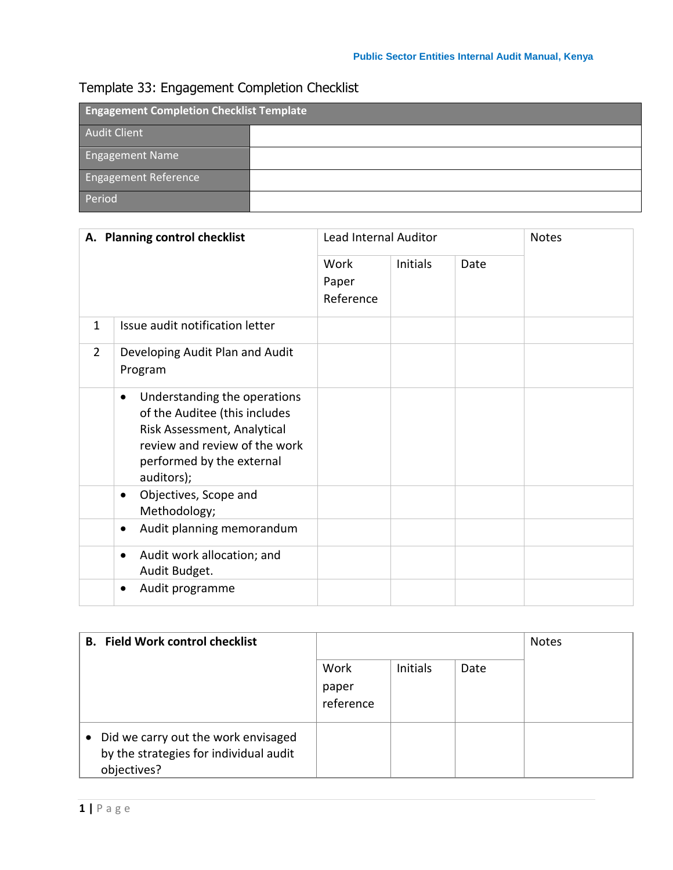## Template 33: Engagement Completion Checklist

| <b>Engagement Completion Checklist Template</b> |  |  |  |
|-------------------------------------------------|--|--|--|
| <b>Audit Client</b>                             |  |  |  |
| <b>Engagement Name</b>                          |  |  |  |
| <b>Engagement Reference</b>                     |  |  |  |
| Period                                          |  |  |  |

| A. Planning control checklist |                                                                                                                                                                                       | <b>Lead Internal Auditor</b> |          |      | <b>Notes</b> |
|-------------------------------|---------------------------------------------------------------------------------------------------------------------------------------------------------------------------------------|------------------------------|----------|------|--------------|
|                               |                                                                                                                                                                                       | Work<br>Paper<br>Reference   | Initials | Date |              |
| $\mathbf{1}$                  | Issue audit notification letter                                                                                                                                                       |                              |          |      |              |
| $\overline{2}$                | Developing Audit Plan and Audit<br>Program                                                                                                                                            |                              |          |      |              |
|                               | Understanding the operations<br>$\bullet$<br>of the Auditee (this includes<br>Risk Assessment, Analytical<br>review and review of the work<br>performed by the external<br>auditors); |                              |          |      |              |
|                               | Objectives, Scope and<br>٠<br>Methodology;                                                                                                                                            |                              |          |      |              |
|                               | Audit planning memorandum<br>$\bullet$                                                                                                                                                |                              |          |      |              |
|                               | Audit work allocation; and<br>٠<br>Audit Budget.                                                                                                                                      |                              |          |      |              |
|                               | Audit programme                                                                                                                                                                       |                              |          |      |              |

| <b>B.</b> Field Work control checklist                                                       | Work<br>paper<br>reference | <b>Initials</b> | Date | <b>Notes</b> |
|----------------------------------------------------------------------------------------------|----------------------------|-----------------|------|--------------|
| Did we carry out the work envisaged<br>by the strategies for individual audit<br>objectives? |                            |                 |      |              |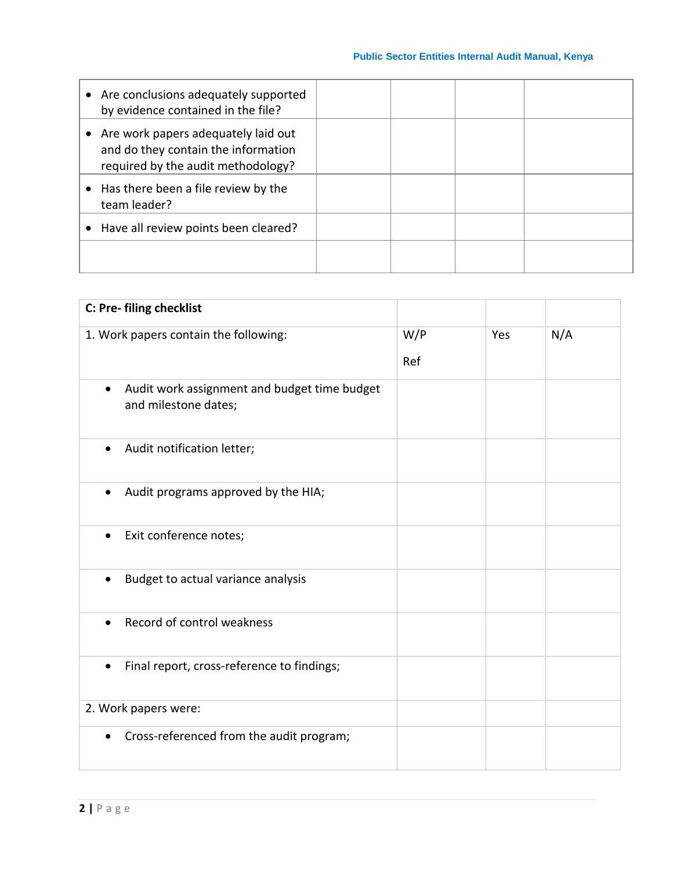| • Are conclusions adequately supported<br>by evidence contained in the file?                                       |  |  |
|--------------------------------------------------------------------------------------------------------------------|--|--|
| • Are work papers adequately laid out<br>and do they contain the information<br>required by the audit methodology? |  |  |
| Has there been a file review by the<br>team leader?                                                                |  |  |
| • Have all review points been cleared?                                                                             |  |  |
|                                                                                                                    |  |  |

| C: Pre- filing checklist                                             |     |     |     |
|----------------------------------------------------------------------|-----|-----|-----|
| 1. Work papers contain the following:                                | W/P | Yes | N/A |
|                                                                      | Ref |     |     |
| Audit work assignment and budget time budget<br>and milestone dates; |     |     |     |
| Audit notification letter;                                           |     |     |     |
| Audit programs approved by the HIA;<br>$\bullet$                     |     |     |     |
| Exit conference notes;                                               |     |     |     |
| Budget to actual variance analysis<br>$\bullet$                      |     |     |     |
| Record of control weakness                                           |     |     |     |
| Final report, cross-reference to findings;<br>$\bullet$              |     |     |     |
| 2. Work papers were:                                                 |     |     |     |
| Cross-referenced from the audit program;                             |     |     |     |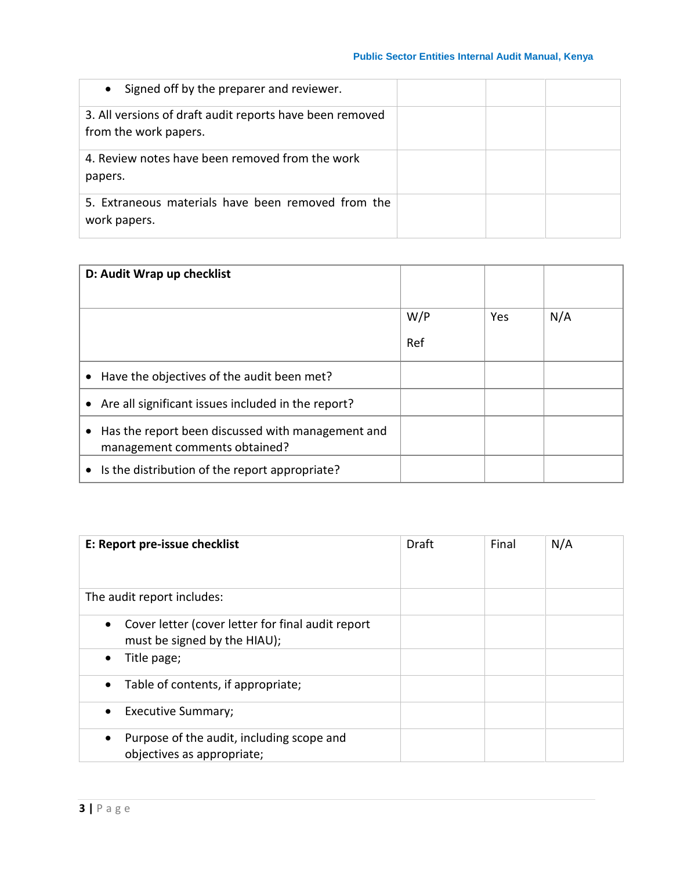| Signed off by the preparer and reviewer.<br>$\bullet$                             |  |  |
|-----------------------------------------------------------------------------------|--|--|
| 3. All versions of draft audit reports have been removed<br>from the work papers. |  |  |
| 4. Review notes have been removed from the work<br>papers.                        |  |  |
| 5. Extraneous materials have been removed from the<br>work papers.                |  |  |

| D: Audit Wrap up checklist                                                              |            |            |     |
|-----------------------------------------------------------------------------------------|------------|------------|-----|
|                                                                                         | W/P<br>Ref | <b>Yes</b> | N/A |
| Have the objectives of the audit been met?<br>$\bullet$                                 |            |            |     |
| • Are all significant issues included in the report?                                    |            |            |     |
| Has the report been discussed with management and<br>٠<br>management comments obtained? |            |            |     |
| Is the distribution of the report appropriate?<br>$\bullet$                             |            |            |     |

| E: Report pre-issue checklist                                                                  | Draft | Final | N/A |
|------------------------------------------------------------------------------------------------|-------|-------|-----|
| The audit report includes:                                                                     |       |       |     |
| Cover letter (cover letter for final audit report<br>$\bullet$<br>must be signed by the HIAU); |       |       |     |
| Title page;<br>$\bullet$                                                                       |       |       |     |
| Table of contents, if appropriate;                                                             |       |       |     |
| <b>Executive Summary;</b>                                                                      |       |       |     |
| Purpose of the audit, including scope and<br>$\bullet$<br>objectives as appropriate;           |       |       |     |